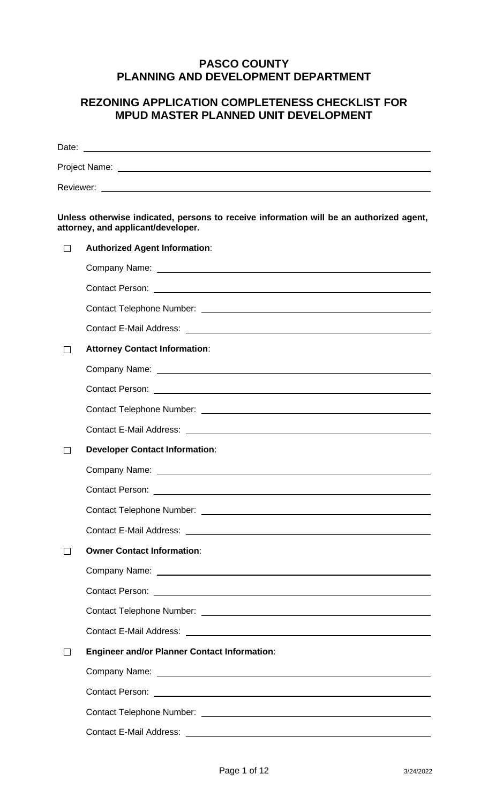# **PASCO COUNTY PLANNING AND DEVELOPMENT DEPARTMENT**

# **REZONING APPLICATION COMPLETENESS CHECKLIST FOR MPUD MASTER PLANNED UNIT DEVELOPMENT**

|         | Unless otherwise indicated, persons to receive information will be an authorized agent,<br>attorney, and applicant/developer. |  |  |
|---------|-------------------------------------------------------------------------------------------------------------------------------|--|--|
| ΙI      | <b>Authorized Agent Information:</b>                                                                                          |  |  |
|         | Company Name: University of the Company Name:                                                                                 |  |  |
|         |                                                                                                                               |  |  |
|         |                                                                                                                               |  |  |
|         |                                                                                                                               |  |  |
| $\perp$ | <b>Attorney Contact Information:</b>                                                                                          |  |  |
|         |                                                                                                                               |  |  |
|         |                                                                                                                               |  |  |
|         |                                                                                                                               |  |  |
|         |                                                                                                                               |  |  |
| $\perp$ | <b>Developer Contact Information:</b>                                                                                         |  |  |
|         | Company Name: University of the Company Name:                                                                                 |  |  |
|         |                                                                                                                               |  |  |
|         |                                                                                                                               |  |  |
|         |                                                                                                                               |  |  |
|         | <b>Owner Contact Information:</b>                                                                                             |  |  |
|         |                                                                                                                               |  |  |
|         |                                                                                                                               |  |  |
|         |                                                                                                                               |  |  |
|         |                                                                                                                               |  |  |
| $\perp$ | <b>Engineer and/or Planner Contact Information:</b>                                                                           |  |  |
|         |                                                                                                                               |  |  |
|         |                                                                                                                               |  |  |
|         |                                                                                                                               |  |  |
|         |                                                                                                                               |  |  |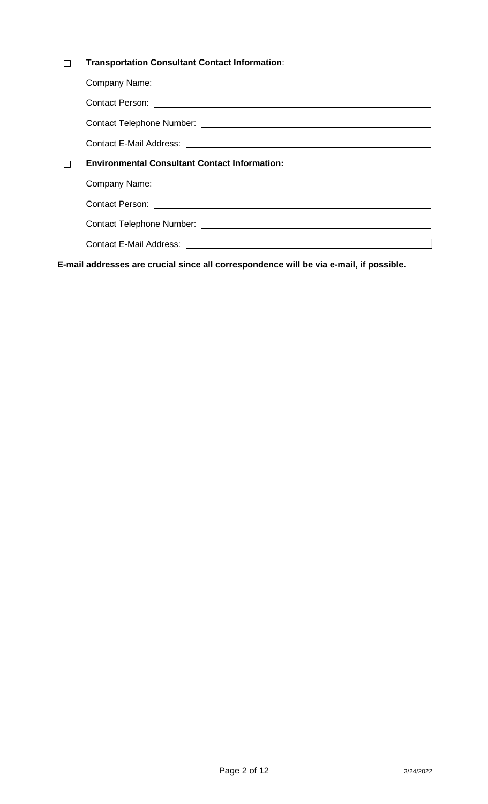#### **Transportation Consultant Contact Information**:  $\Box$

| $\Box$ | <b>Environmental Consultant Contact Information:</b> |  |  |
|--------|------------------------------------------------------|--|--|
|        |                                                      |  |  |
|        |                                                      |  |  |
|        |                                                      |  |  |
|        |                                                      |  |  |
|        |                                                      |  |  |

**E-mail addresses are crucial since all correspondence will be via e-mail, if possible.**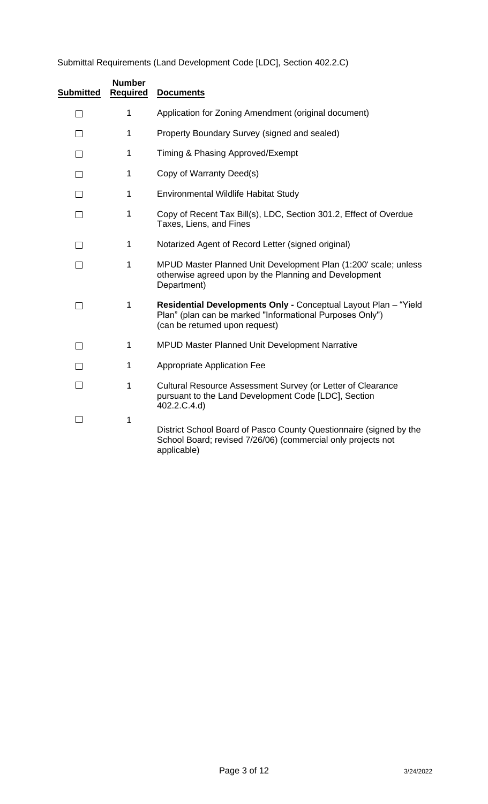# Submittal Requirements (Land Development Code [LDC], Section 402.2.C)

| <b>Submitted</b> | <b>Number</b><br><b>Required</b> | <b>Documents</b>                                                                                                                                              |
|------------------|----------------------------------|---------------------------------------------------------------------------------------------------------------------------------------------------------------|
| □                | 1                                | Application for Zoning Amendment (original document)                                                                                                          |
| $\Box$           | $\mathbf 1$                      | Property Boundary Survey (signed and sealed)                                                                                                                  |
| П                | $\mathbf{1}$                     | Timing & Phasing Approved/Exempt                                                                                                                              |
| $\Box$           | $\mathbf 1$                      | Copy of Warranty Deed(s)                                                                                                                                      |
| $\Box$           | $\mathbf 1$                      | Environmental Wildlife Habitat Study                                                                                                                          |
| $\Box$           | $\mathbf 1$                      | Copy of Recent Tax Bill(s), LDC, Section 301.2, Effect of Overdue<br>Taxes, Liens, and Fines                                                                  |
| П                | $\mathbf{1}$                     | Notarized Agent of Record Letter (signed original)                                                                                                            |
| □                | 1                                | MPUD Master Planned Unit Development Plan (1:200' scale; unless<br>otherwise agreed upon by the Planning and Development<br>Department)                       |
| $\Box$           | 1                                | Residential Developments Only - Conceptual Layout Plan - "Yield<br>Plan" (plan can be marked "Informational Purposes Only")<br>(can be returned upon request) |
| П                | $\mathbf{1}$                     | <b>MPUD Master Planned Unit Development Narrative</b>                                                                                                         |
| П                | 1                                | <b>Appropriate Application Fee</b>                                                                                                                            |
| $\Box$           | 1                                | Cultural Resource Assessment Survey (or Letter of Clearance<br>pursuant to the Land Development Code [LDC], Section<br>402.2.C.4.d)                           |
| $\Box$           | 1                                | District School Board of Pasco County Questionnaire (signed by the<br>School Board; revised 7/26/06) (commercial only projects not<br>applicable)             |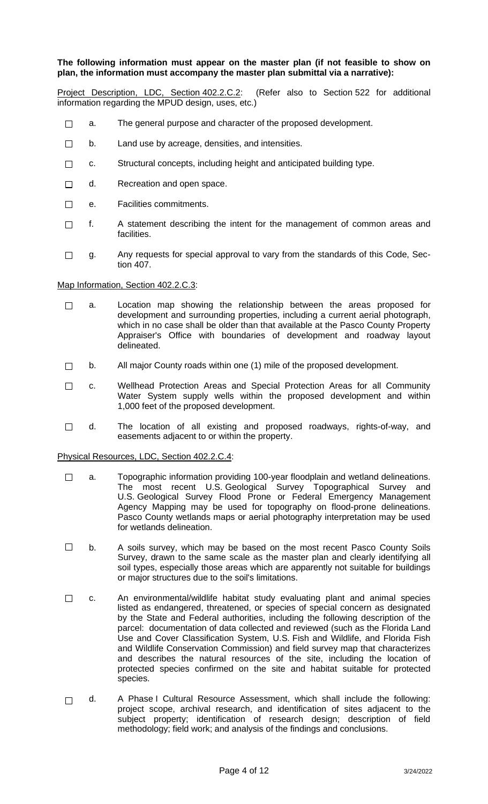#### **The following information must appear on the master plan (if not feasible to show on plan, the information must accompany the master plan submittal via a narrative):**

Project Description, LDC, Section 402.2.C.2: (Refer also to Section 522 for additional information regarding the MPUD design, uses, etc.)

- $\Box$ a. The general purpose and character of the proposed development.
- $\Box$ b. Land use by acreage, densities, and intensities.
- c. Structural concepts, including height and anticipated building type.  $\Box$
- d. Recreation and open space.  $\Box$
- e. Facilities commitments.  $\Box$
- $\Box$ f. A statement describing the intent for the management of common areas and facilities.
- g. Any requests for special approval to vary from the standards of this Code, Sec- $\Box$ tion 407.

#### Map Information, Section 402.2.C.3:

- a. Location map showing the relationship between the areas proposed for  $\Box$ development and surrounding properties, including a current aerial photograph, which in no case shall be older than that available at the Pasco County Property Appraiser's Office with boundaries of development and roadway layout delineated.
- b. All major County roads within one (1) mile of the proposed development.  $\Box$
- $\Box$ c. Wellhead Protection Areas and Special Protection Areas for all Community Water System supply wells within the proposed development and within 1,000 feet of the proposed development.
- d. The location of all existing and proposed roadways, rights-of-way, and  $\Box$ easements adjacent to or within the property.

Physical Resources, LDC, Section 402.2.C.4:

- $\Box$ a. Topographic information providing 100-year floodplain and wetland delineations. The most recent U.S. Geological Survey Topographical Survey and U.S. Geological Survey Flood Prone or Federal Emergency Management Agency Mapping may be used for topography on flood-prone delineations. Pasco County wetlands maps or aerial photography interpretation may be used for wetlands delineation.
- $\Box$ b. A soils survey, which may be based on the most recent Pasco County Soils Survey, drawn to the same scale as the master plan and clearly identifying all soil types, especially those areas which are apparently not suitable for buildings or major structures due to the soil's limitations.
- $\Box$ c. An environmental/wildlife habitat study evaluating plant and animal species listed as endangered, threatened, or species of special concern as designated by the State and Federal authorities, including the following description of the parcel: documentation of data collected and reviewed (such as the Florida Land Use and Cover Classification System, U.S. Fish and Wildlife, and Florida Fish and Wildlife Conservation Commission) and field survey map that characterizes and describes the natural resources of the site, including the location of protected species confirmed on the site and habitat suitable for protected species.
- d. A Phase I Cultural Resource Assessment, which shall include the following:  $\Box$ project scope, archival research, and identification of sites adjacent to the subject property; identification of research design; description of field methodology; field work; and analysis of the findings and conclusions.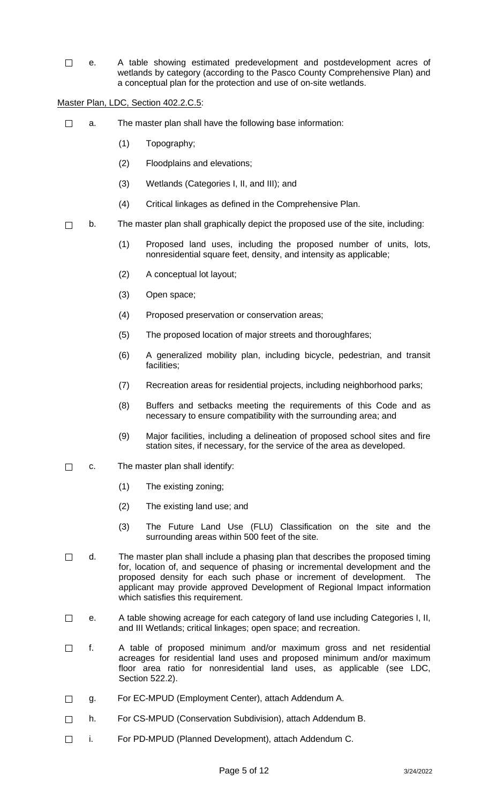$\Box$ e. A table showing estimated predevelopment and postdevelopment acres of wetlands by category (according to the Pasco County Comprehensive Plan) and a conceptual plan for the protection and use of on-site wetlands.

Master Plan, LDC, Section 402.2.C.5:

- $\Box$ a. The master plan shall have the following base information:
	- (1) Topography;
	- (2) Floodplains and elevations;
	- (3) Wetlands (Categories I, II, and III); and
	- (4) Critical linkages as defined in the Comprehensive Plan.
- b. The master plan shall graphically depict the proposed use of the site, including:  $\Box$ 
	- (1) Proposed land uses, including the proposed number of units, lots, nonresidential square feet, density, and intensity as applicable;
	- (2) A conceptual lot layout;
	- (3) Open space;
	- (4) Proposed preservation or conservation areas;
	- (5) The proposed location of major streets and thoroughfares;
	- (6) A generalized mobility plan, including bicycle, pedestrian, and transit facilities;
	- (7) Recreation areas for residential projects, including neighborhood parks;
	- (8) Buffers and setbacks meeting the requirements of this Code and as necessary to ensure compatibility with the surrounding area; and
	- (9) Major facilities, including a delineation of proposed school sites and fire station sites, if necessary, for the service of the area as developed.
- $\Box$ c. The master plan shall identify:
	- (1) The existing zoning;
	- (2) The existing land use; and
	- (3) The Future Land Use (FLU) Classification on the site and the surrounding areas within 500 feet of the site.
- $\Box$ d. The master plan shall include a phasing plan that describes the proposed timing for, location of, and sequence of phasing or incremental development and the proposed density for each such phase or increment of development. The applicant may provide approved Development of Regional Impact information which satisfies this requirement.
- e. A table showing acreage for each category of land use including Categories I, II,  $\Box$ and III Wetlands; critical linkages; open space; and recreation.
- f. A table of proposed minimum and/or maximum gross and net residential  $\Box$ acreages for residential land uses and proposed minimum and/or maximum floor area ratio for nonresidential land uses, as applicable (see LDC, Section 522.2).
- g. For EC-MPUD (Employment Center), attach Addendum A.  $\Box$
- h. For CS-MPUD (Conservation Subdivision), attach Addendum B.  $\Box$
- i. For PD-MPUD (Planned Development), attach Addendum C. $\Box$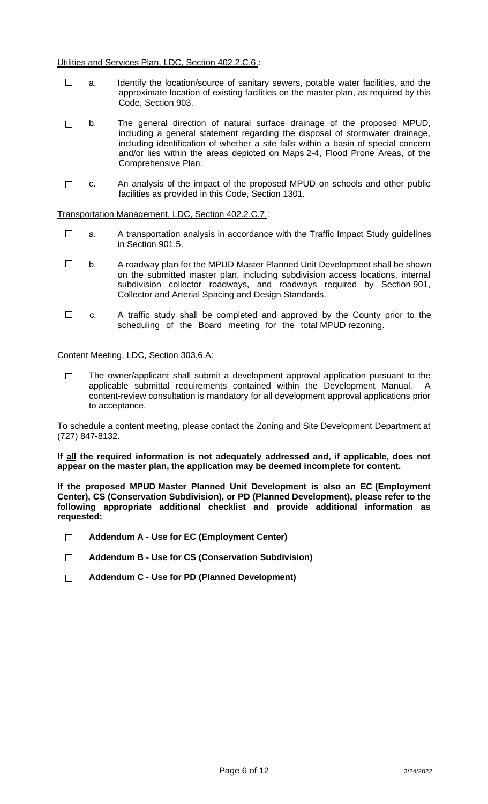- $\Box$ a. Identify the location/source of sanitary sewers, potable water facilities, and the approximate location of existing facilities on the master plan, as required by this Code, Section 903.
- $\Box$ b. The general direction of natural surface drainage of the proposed MPUD, including a general statement regarding the disposal of stormwater drainage, including identification of whether a site falls within a basin of special concern and/or lies within the areas depicted on Maps 2-4, Flood Prone Areas, of the Comprehensive Plan.
- c. An analysis of the impact of the proposed MPUD on schools and other public  $\Box$ facilities as provided in this Code, Section 1301.

Transportation Management, LDC, Section 402.2.C.7.:

- $\Box$ a. A transportation analysis in accordance with the Traffic Impact Study guidelines in Section 901.5.
- $\Box$ b. A roadway plan for the MPUD Master Planned Unit Development shall be shown on the submitted master plan, including subdivision access locations, internal subdivision collector roadways, and roadways required by Section 901, Collector and Arterial Spacing and Design Standards.
- $\Box$ c. A traffic study shall be completed and approved by the County prior to the scheduling of the Board meeting for the total MPUD rezoning.

#### Content Meeting, LDC, Section 303.6.A:

The owner/applicant shall submit a development approval application pursuant to the  $\Box$ applicable submittal requirements contained within the Development Manual. A content-review consultation is mandatory for all development approval applications prior to acceptance.

To schedule a content meeting, please contact the Zoning and Site Development Department at (727) 847-8132.

**If all the required information is not adequately addressed and, if applicable, does not appear on the master plan, the application may be deemed incomplete for content.**

**If the proposed MPUD Master Planned Unit Development is also an EC (Employment Center), CS (Conservation Subdivision), or PD (Planned Development), please refer to the following appropriate additional checklist and provide additional information as requested:**

- **Addendum A - Use for EC (Employment Center)**  $\Box$
- **Addendum B - Use for CS (Conservation Subdivision)**  $\Box$
- $\Box$ **Addendum C - Use for PD (Planned Development)**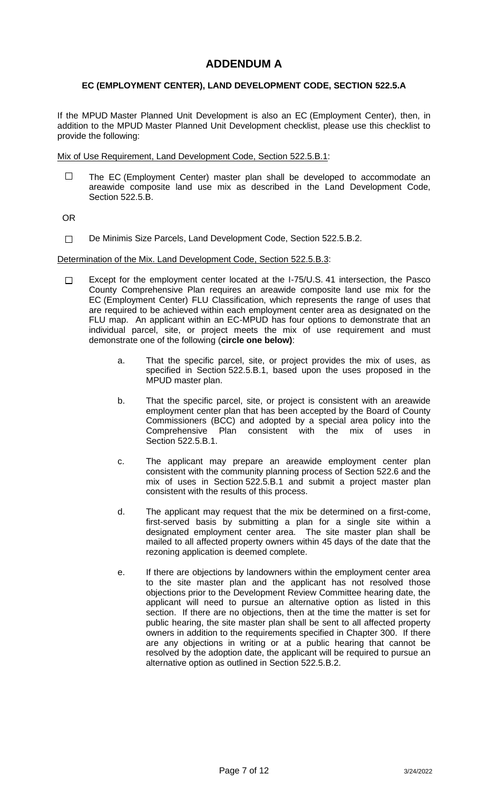# **ADDENDUM A**

### **EC (EMPLOYMENT CENTER), LAND DEVELOPMENT CODE, SECTION 522.5.A**

If the MPUD Master Planned Unit Development is also an EC (Employment Center), then, in addition to the MPUD Master Planned Unit Development checklist, please use this checklist to provide the following:

Mix of Use Requirement, Land Development Code, Section 522.5.B.1:

 $\Box$ The EC (Employment Center) master plan shall be developed to accommodate an areawide composite land use mix as described in the Land Development Code, Section 522.5.B.

OR

De Minimis Size Parcels, Land Development Code, Section 522.5.B.2.  $\Box$ 

#### Determination of the Mix. Land Development Code, Section 522.5.B.3:

- Except for the employment center located at the I-75/U.S. 41 intersection, the Pasco  $\Box$ County Comprehensive Plan requires an areawide composite land use mix for the EC (Employment Center) FLU Classification, which represents the range of uses that are required to be achieved within each employment center area as designated on the FLU map. An applicant within an EC-MPUD has four options to demonstrate that an individual parcel, site, or project meets the mix of use requirement and must demonstrate one of the following (**circle one below)**:
	- a. That the specific parcel, site, or project provides the mix of uses, as specified in Section 522.5.B.1, based upon the uses proposed in the MPUD master plan.
	- b. That the specific parcel, site, or project is consistent with an areawide employment center plan that has been accepted by the Board of County Commissioners (BCC) and adopted by a special area policy into the Comprehensive Plan consistent with the mix of uses in Section 522.5.B.1.
	- c. The applicant may prepare an areawide employment center plan consistent with the community planning process of Section 522.6 and the mix of uses in Section 522.5.B.1 and submit a project master plan consistent with the results of this process.
	- d. The applicant may request that the mix be determined on a first-come, first-served basis by submitting a plan for a single site within a designated employment center area. The site master plan shall be mailed to all affected property owners within 45 days of the date that the rezoning application is deemed complete.
	- e. If there are objections by landowners within the employment center area to the site master plan and the applicant has not resolved those objections prior to the Development Review Committee hearing date, the applicant will need to pursue an alternative option as listed in this section. If there are no objections, then at the time the matter is set for public hearing, the site master plan shall be sent to all affected property owners in addition to the requirements specified in Chapter 300. If there are any objections in writing or at a public hearing that cannot be resolved by the adoption date, the applicant will be required to pursue an alternative option as outlined in Section 522.5.B.2.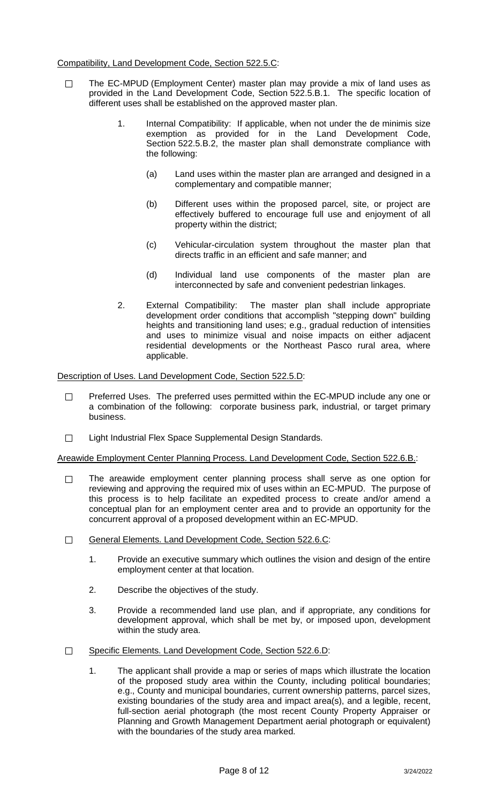#### Compatibility, Land Development Code, Section 522.5.C:

- The EC-MPUD (Employment Center) master plan may provide a mix of land uses as  $\Box$ provided in the Land Development Code, Section 522.5.B.1. The specific location of different uses shall be established on the approved master plan.
	- 1. Internal Compatibility: If applicable, when not under the de minimis size exemption as provided for in the Land Development Code, Section 522.5.B.2, the master plan shall demonstrate compliance with the following:
		- (a) Land uses within the master plan are arranged and designed in a complementary and compatible manner;
		- (b) Different uses within the proposed parcel, site, or project are effectively buffered to encourage full use and enjoyment of all property within the district;
		- (c) Vehicular-circulation system throughout the master plan that directs traffic in an efficient and safe manner; and
		- (d) Individual land use components of the master plan are interconnected by safe and convenient pedestrian linkages.
	- 2. External Compatibility: The master plan shall include appropriate development order conditions that accomplish "stepping down" building heights and transitioning land uses; e.g., gradual reduction of intensities and uses to minimize visual and noise impacts on either adjacent residential developments or the Northeast Pasco rural area, where applicable.

Description of Uses. Land Development Code, Section 522.5.D:

- Preferred Uses. The preferred uses permitted within the EC-MPUD include any one or  $\Box$ a combination of the following: corporate business park, industrial, or target primary business.
- $\Box$ Light Industrial Flex Space Supplemental Design Standards.

Areawide Employment Center Planning Process. Land Development Code, Section 522.6.B.:

- The areawide employment center planning process shall serve as one option for  $\Box$ reviewing and approving the required mix of uses within an EC-MPUD. The purpose of this process is to help facilitate an expedited process to create and/or amend a conceptual plan for an employment center area and to provide an opportunity for the concurrent approval of a proposed development within an EC-MPUD.
- $\Box$ General Elements. Land Development Code, Section 522.6.C:
	- 1. Provide an executive summary which outlines the vision and design of the entire employment center at that location.
	- 2. Describe the objectives of the study.
	- 3. Provide a recommended land use plan, and if appropriate, any conditions for development approval, which shall be met by, or imposed upon, development within the study area.
- Specific Elements. Land Development Code, Section 522.6.D:  $\Box$ 
	- 1. The applicant shall provide a map or series of maps which illustrate the location of the proposed study area within the County, including political boundaries; e.g., County and municipal boundaries, current ownership patterns, parcel sizes, existing boundaries of the study area and impact area(s), and a legible, recent, full-section aerial photograph (the most recent County Property Appraiser or Planning and Growth Management Department aerial photograph or equivalent) with the boundaries of the study area marked.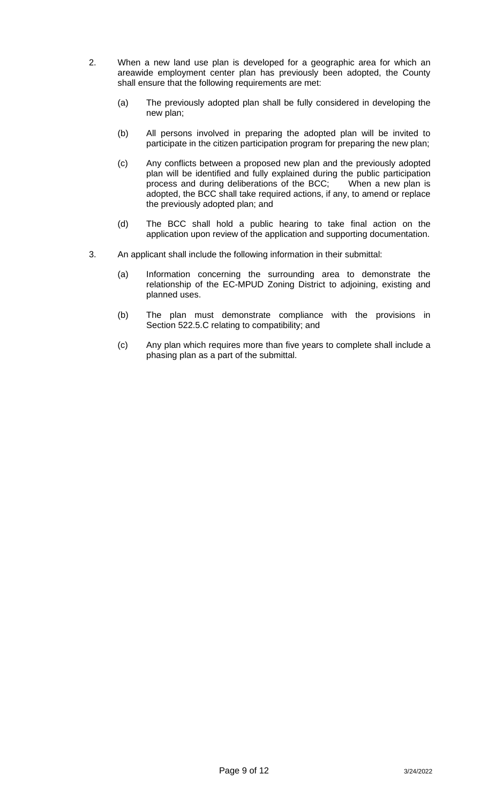- 2. When a new land use plan is developed for a geographic area for which an areawide employment center plan has previously been adopted, the County shall ensure that the following requirements are met:
	- (a) The previously adopted plan shall be fully considered in developing the new plan;
	- (b) All persons involved in preparing the adopted plan will be invited to participate in the citizen participation program for preparing the new plan;
	- (c) Any conflicts between a proposed new plan and the previously adopted plan will be identified and fully explained during the public participation process and during deliberations of the BCC; When a new plan is process and during deliberations of the BCC; adopted, the BCC shall take required actions, if any, to amend or replace the previously adopted plan; and
	- (d) The BCC shall hold a public hearing to take final action on the application upon review of the application and supporting documentation.
- 3. An applicant shall include the following information in their submittal:
	- (a) Information concerning the surrounding area to demonstrate the relationship of the EC-MPUD Zoning District to adjoining, existing and planned uses.
	- (b) The plan must demonstrate compliance with the provisions in Section 522.5.C relating to compatibility; and
	- (c) Any plan which requires more than five years to complete shall include a phasing plan as a part of the submittal.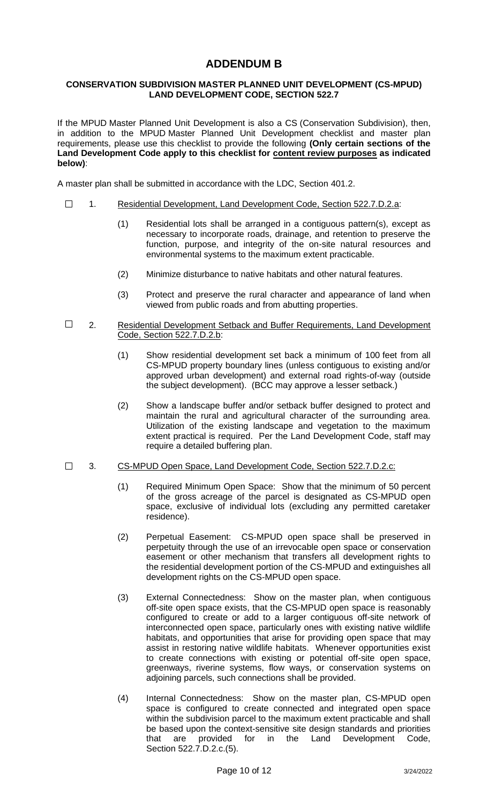## **ADDENDUM B**

#### **CONSERVATION SUBDIVISION MASTER PLANNED UNIT DEVELOPMENT (CS-MPUD) LAND DEVELOPMENT CODE, SECTION 522.7**

If the MPUD Master Planned Unit Development is also a CS (Conservation Subdivision), then, in addition to the MPUD Master Planned Unit Development checklist and master plan requirements, please use this checklist to provide the following **(Only certain sections of the Land Development Code apply to this checklist for content review purposes as indicated below)**:

A master plan shall be submitted in accordance with the LDC, Section 401.2.

- $\Box$ 1. Residential Development, Land Development Code, Section 522.7.D.2.a:
	- (1) Residential lots shall be arranged in a contiguous pattern(s), except as necessary to incorporate roads, drainage, and retention to preserve the function, purpose, and integrity of the on-site natural resources and environmental systems to the maximum extent practicable.
	- (2) Minimize disturbance to native habitats and other natural features.
	- (3) Protect and preserve the rural character and appearance of land when viewed from public roads and from abutting properties.
- $\Box$ 2. Residential Development Setback and Buffer Requirements, Land Development Code, Section 522.7.D.2.b:
	- (1) Show residential development set back a minimum of 100 feet from all CS-MPUD property boundary lines (unless contiguous to existing and/or approved urban development) and external road rights-of-way (outside the subject development). (BCC may approve a lesser setback.)
	- (2) Show a landscape buffer and/or setback buffer designed to protect and maintain the rural and agricultural character of the surrounding area. Utilization of the existing landscape and vegetation to the maximum extent practical is required. Per the Land Development Code, staff may require a detailed buffering plan.
- $\Box$ 3. CS-MPUD Open Space, Land Development Code, Section 522.7.D.2.c:
	- (1) Required Minimum Open Space: Show that the minimum of 50 percent of the gross acreage of the parcel is designated as CS-MPUD open space, exclusive of individual lots (excluding any permitted caretaker residence).
	- (2) Perpetual Easement: CS-MPUD open space shall be preserved in perpetuity through the use of an irrevocable open space or conservation easement or other mechanism that transfers all development rights to the residential development portion of the CS-MPUD and extinguishes all development rights on the CS-MPUD open space.
	- (3) External Connectedness: Show on the master plan, when contiguous off-site open space exists, that the CS-MPUD open space is reasonably configured to create or add to a larger contiguous off-site network of interconnected open space, particularly ones with existing native wildlife habitats, and opportunities that arise for providing open space that may assist in restoring native wildlife habitats. Whenever opportunities exist to create connections with existing or potential off-site open space, greenways, riverine systems, flow ways, or conservation systems on adjoining parcels, such connections shall be provided.
	- (4) Internal Connectedness: Show on the master plan, CS-MPUD open space is configured to create connected and integrated open space within the subdivision parcel to the maximum extent practicable and shall be based upon the context-sensitive site design standards and priorities that are provided for in the Land Development Code, Section 522.7.D.2.c.(5).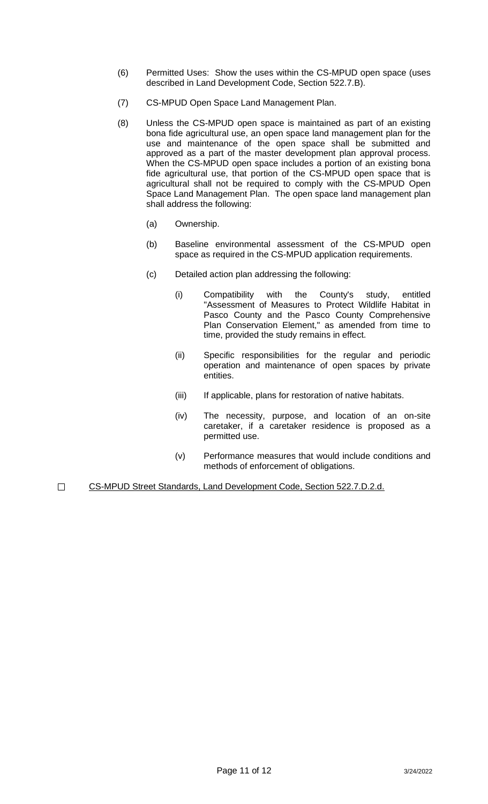- (6) Permitted Uses: Show the uses within the CS-MPUD open space (uses described in Land Development Code, Section 522.7.B).
- (7) CS-MPUD Open Space Land Management Plan.
- (8) Unless the CS-MPUD open space is maintained as part of an existing bona fide agricultural use, an open space land management plan for the use and maintenance of the open space shall be submitted and approved as a part of the master development plan approval process. When the CS-MPUD open space includes a portion of an existing bona fide agricultural use, that portion of the CS-MPUD open space that is agricultural shall not be required to comply with the CS-MPUD Open Space Land Management Plan. The open space land management plan shall address the following:
	- (a) Ownership.
	- (b) Baseline environmental assessment of the CS-MPUD open space as required in the CS-MPUD application requirements.
	- (c) Detailed action plan addressing the following:
		- (i) Compatibility with the County's study, entitled "Assessment of Measures to Protect Wildlife Habitat in Pasco County and the Pasco County Comprehensive Plan Conservation Element," as amended from time to time, provided the study remains in effect.
		- (ii) Specific responsibilities for the regular and periodic operation and maintenance of open spaces by private entities.
		- (iii) If applicable, plans for restoration of native habitats.
		- (iv) The necessity, purpose, and location of an on-site caretaker, if a caretaker residence is proposed as a permitted use.
		- (v) Performance measures that would include conditions and methods of enforcement of obligations.
- CS-MPUD Street Standards, Land Development Code, Section 522.7.D.2.d.  $\Box$